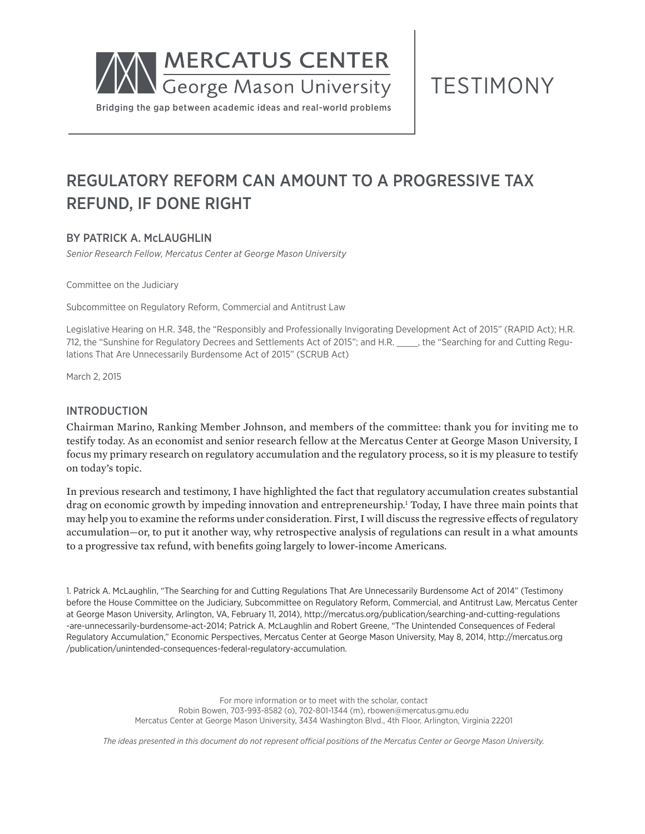

TESTIMONY

# REGULATORY REFORM CAN AMOUNT TO A PROGRESSIVE TAX REFUND, IF DONE RIGHT

# BY PATRICK A. McLAUGHLIN

*Senior Research Fellow, Mercatus Center at George Mason University*

Committee on the Judiciary

Subcommittee on Regulatory Reform, Commercial and Antitrust Law

Legislative Hearing on H.R. 348, the "Responsibly and Professionally Invigorating Development Act of 2015" (RAPID Act); H.R. 712, the "Sunshine for Regulatory Decrees and Settlements Act of 2015"; and H.R. \_\_\_\_, the "Searching for and Cutting Regulations That Are Unnecessarily Burdensome Act of 2015" (SCRUB Act)

March 2, 2015

#### INTRODUCTION

Chairman Marino, Ranking Member Johnson, and members of the committee: thank you for inviting me to testify today. As an economist and senior research fellow at the Mercatus Center at George Mason University, I focus my primary research on regulatory accumulation and the regulatory process, so it is my pleasure to testify on today's topic.

In previous research and testimony, I have highlighted the fact that regulatory accumulation creates substantial drag on economic growth by impeding innovation and entrepreneurship.1 Today, I have three main points that may help you to examine the reforms under consideration. First, I will discuss the regressive effects of regulatory accumulation—or, to put it another way, why retrospective analysis of regulations can result in a what amounts to a progressive tax refund, with benefits going largely to lower-income Americans.

1. Patrick A. McLaughlin, "The Searching for and Cutting Regulations That Are Unnecessarily Burdensome Act of 2014" (Testimony before the House Committee on the Judiciary, Subcommittee on Regulatory Reform, Commercial, and Antitrust Law, Mercatus Center at George Mason University, Arlington, VA, February 11, 2014), http://mercatus.org/publication/searching-and-cutting-regulations -are-unnecessarily-burdensome-act-2014; Patrick A. McLaughlin and Robert Greene, "The Unintended Consequences of Federal Regulatory Accumulation," Economic Perspectives, Mercatus Center at George Mason University, May 8, 2014, http://mercatus.org /publication/unintended-consequences-federal-regulatory-accumulation.

> For more information or to meet with the scholar, contact Robin Bowen, 703-993-8582 (o), 702-801-1344 (m), rbowen@mercatus.gmu.edu Mercatus Center at George Mason University, 3434 Washington Blvd., 4th Floor, Arlington, Virginia 22201

*The ideas presented in this document do not represent official positions of the Mercatus Center or George Mason University.*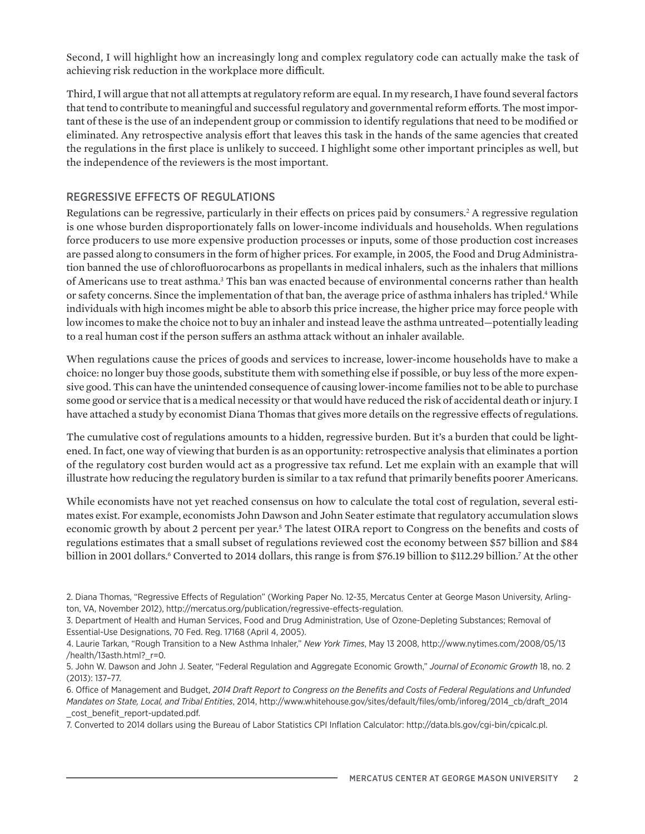Second, I will highlight how an increasingly long and complex regulatory code can actually make the task of achieving risk reduction in the workplace more difficult.

Third, I will argue that not all attempts at regulatory reform are equal. In my research, I have found several factors that tend to contribute to meaningful and successful regulatory and governmental reform efforts. The most important of these is the use of an independent group or commission to identify regulations that need to be modified or eliminated. Any retrospective analysis effort that leaves this task in the hands of the same agencies that created the regulations in the first place is unlikely to succeed. I highlight some other important principles as well, but the independence of the reviewers is the most important.

## REGRESSIVE EFFECTS OF REGULATIONS

Regulations can be regressive, particularly in their effects on prices paid by consumers.<sup>2</sup> A regressive regulation is one whose burden disproportionately falls on lower-income individuals and households. When regulations force producers to use more expensive production processes or inputs, some of those production cost increases are passed along to consumers in the form of higher prices. For example, in 2005, the Food and Drug Administration banned the use of chlorofluorocarbons as propellants in medical inhalers, such as the inhalers that millions of Americans use to treat asthma.<sup>3</sup> This ban was enacted because of environmental concerns rather than health or safety concerns. Since the implementation of that ban, the average price of asthma inhalers has tripled.<sup>4</sup> While individuals with high incomes might be able to absorb this price increase, the higher price may force people with low incomes to make the choice not to buy an inhaler and instead leave the asthma untreated—potentially leading to a real human cost if the person suffers an asthma attack without an inhaler available.

When regulations cause the prices of goods and services to increase, lower-income households have to make a choice: no longer buy those goods, substitute them with something else if possible, or buy less of the more expensive good. This can have the unintended consequence of causing lower-income families not to be able to purchase some good or service that is a medical necessity or that would have reduced the risk of accidental death or injury. I have attached a study by economist Diana Thomas that gives more details on the regressive effects of regulations.

The cumulative cost of regulations amounts to a hidden, regressive burden. But it's a burden that could be lightened. In fact, one way of viewing that burden is as an opportunity: retrospective analysis that eliminates a portion of the regulatory cost burden would act as a progressive tax refund. Let me explain with an example that will illustrate how reducing the regulatory burden is similar to a tax refund that primarily benefits poorer Americans.

While economists have not yet reached consensus on how to calculate the total cost of regulation, several estimates exist. For example, economists John Dawson and John Seater estimate that regulatory accumulation slows economic growth by about 2 percent per year.<sup>5</sup> The latest OIRA report to Congress on the benefits and costs of regulations estimates that a small subset of regulations reviewed cost the economy between \$57 billion and \$84 billion in 2001 dollars.6 Converted to 2014 dollars, this range is from \$76.19 billion to \$112.29 billion.<sup>7</sup> At the other

7. Converted to 2014 dollars using the Bureau of Labor Statistics CPI Inflation Calculator: <http://data.bls.gov/cgi-bin/cpicalc.pl>.

<sup>2.</sup> Diana Thomas, "Regressive Effects of Regulation" (Working Paper No. 12-35, Mercatus Center at George Mason University, Arlington, VA, November 2012), http://mercatus.org/publication/regressive-effects-regulation.

<sup>3.</sup> Department of Health and Human Services, Food and Drug Administration, Use of Ozone-Depleting Substances; Removal of Essential-Use Designations, 70 Fed. Reg. 17168 (April 4, 2005).

<sup>4.</sup> Laurie Tarkan, "Rough Transition to a New Asthma Inhaler," *New York Times*, May 13 2008, [http://www.nytimes.com/2008/05/13](http://www.nytimes.com/2008/05/13/health/13asth.html?_r=0) [/health/13asth.html?\\_r=0](http://www.nytimes.com/2008/05/13/health/13asth.html?_r=0).

<sup>5.</sup> John W. Dawson and John J. Seater, "Federal Regulation and Aggregate Economic Growth," *Journal of Economic Growth* 18, no. 2 (2013): 137–77.

<sup>6.</sup> Office of Management and Budget, *2014 Draft Report to Congress on the Benefits and Costs of Federal Regulations and Unfunded Mandates on State, Local, and Tribal Entities*, 2014, http://www.whitehouse.gov/sites/default/files/omb/inforeg/2014\_cb/draft\_2014 \_cost\_benefit\_report-updated.pdf.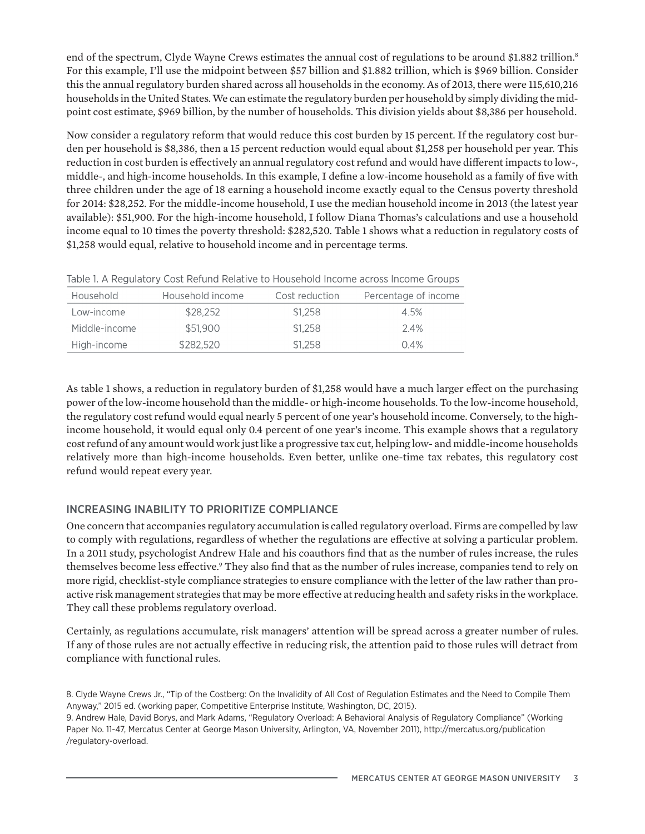end of the spectrum, Clyde Wayne Crews estimates the annual cost of regulations to be around \$1.882 trillion.<sup>8</sup> For this example, I'll use the midpoint between \$57 billion and \$1.882 trillion, which is \$969 billion. Consider this the annual regulatory burden shared across all households in the economy. As of 2013, there were 115,610,216 households in the United States. We can estimate the regulatory burden per household by simply dividing the midpoint cost estimate, \$969 billion, by the number of households. This division yields about \$8,386 per household.

Now consider a regulatory reform that would reduce this cost burden by 15 percent. If the regulatory cost burden per household is \$8,386, then a 15 percent reduction would equal about \$1,258 per household per year. This reduction in cost burden is effectively an annual regulatory cost refund and would have different impacts to low-, middle-, and high-income households. In this example, I define a low-income household as a family of five with three children under the age of 18 earning a household income exactly equal to the Census poverty threshold for 2014: \$28,252. For the middle-income household, I use the median household income in 2013 (the latest year available): \$51,900. For the high-income household, I follow Diana Thomas's calculations and use a household income equal to 10 times the poverty threshold: \$282,520. Table 1 shows what a reduction in regulatory costs of \$1,258 would equal, relative to household income and in percentage terms.

| Household     | Household income | Cost reduction | Percentage of income |
|---------------|------------------|----------------|----------------------|
| Low-income    | \$28,252         | \$1.258        | 4.5%                 |
| Middle-income | \$51,900         | \$1.258        | 2.4%                 |
| High-income   | \$282,520        | \$1,258        | 0.4%                 |

Table 1. A Regulatory Cost Refund Relative to Household Income across Income Groups

As table 1 shows, a reduction in regulatory burden of \$1,258 would have a much larger effect on the purchasing power of the low-income household than the middle- or high-income households. To the low-income household, the regulatory cost refund would equal nearly 5 percent of one year's household income. Conversely, to the highincome household, it would equal only 0.4 percent of one year's income. This example shows that a regulatory cost refund of any amount would work just like a progressive tax cut, helping low- and middle-income households relatively more than high-income households. Even better, unlike one-time tax rebates, this regulatory cost refund would repeat every year.

# INCREASING INABILITY TO PRIORITIZE COMPLIANCE

One concern that accompanies regulatory accumulation is called regulatory overload. Firms are compelled by law to comply with regulations, regardless of whether the regulations are effective at solving a particular problem. In a 2011 study, psychologist Andrew Hale and his coauthors find that as the number of rules increase, the rules themselves become less effective.<sup>9</sup> They also find that as the number of rules increase, companies tend to rely on more rigid, checklist-style compliance strategies to ensure compliance with the letter of the law rather than proactive risk management strategies that may be more effective at reducing health and safety risks in the workplace. They call these problems regulatory overload.

Certainly, as regulations accumulate, risk managers' attention will be spread across a greater number of rules. If any of those rules are not actually effective in reducing risk, the attention paid to those rules will detract from compliance with functional rules.

8. Clyde Wayne Crews Jr., "Tip of the Costberg: On the Invalidity of All Cost of Regulation Estimates and the Need to Compile Them Anyway," 2015 ed. (working paper, Competitive Enterprise Institute, Washington, DC, 2015). 9. Andrew Hale, David Borys, and Mark Adams, "Regulatory Overload: A Behavioral Analysis of Regulatory Compliance" (Working Paper No. 11-47, Mercatus Center at George Mason University, Arlington, VA, November 2011), http://mercatus.org/publication

/regulatory-overload.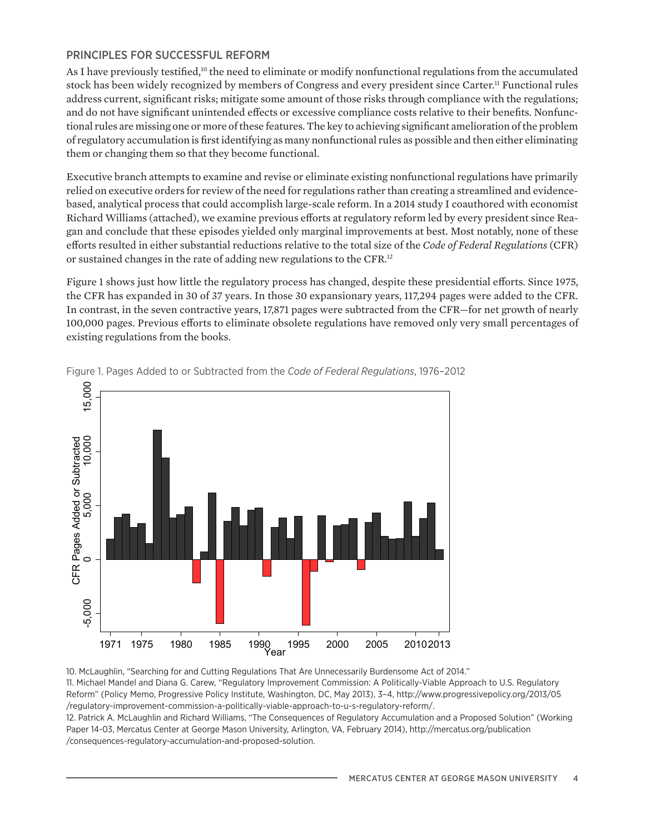# PRINCIPLES FOR SUCCESSFUL REFORM

As I have previously testified,<sup>10</sup> the need to eliminate or modify nonfunctional regulations from the accumulated stock has been widely recognized by members of Congress and every president since Carter.<sup>11</sup> Functional rules address current, significant risks; mitigate some amount of those risks through compliance with the regulations; and do not have significant unintended effects or excessive compliance costs relative to their benefits. Nonfunctional rules are missing one or more of these features. The key to achieving significant amelioration of the problem of regulatory accumulation is first identifying as many nonfunctional rules as possible and then either eliminating them or changing them so that they become functional.

Executive branch attempts to examine and revise or eliminate existing nonfunctional regulations have primarily relied on executive orders for review of the need for regulations rather than creating a streamlined and evidencebased, analytical process that could accomplish large-scale reform. In a 2014 study I coauthored with economist Richard Williams (attached), we examine previous efforts at regulatory reform led by every president since Reagan and conclude that these episodes yielded only marginal improvements at best. Most notably, none of these efforts resulted in either substantial reductions relative to the total size of the *Code of Federal Regulations* (CFR) or sustained changes in the rate of adding new regulations to the CFR.12

Figure 1 shows just how little the regulatory process has changed, despite these presidential efforts. Since 1975, the CFR has expanded in 30 of 37 years. In those 30 expansionary years, 117,294 pages were added to the CFR. In contrast, in the seven contractive years, 17,871 pages were subtracted from the CFR—for net growth of nearly 100,000 pages. Previous efforts to eliminate obsolete regulations have removed only very small percentages of existing regulations from the books.



Figure 1. Pages Added to or Subtracted from the *Code of Federal Regulations*, 1976–2012

10. McLaughlin, "Searching for and Cutting Regulations That Are Unnecessarily Burdensome Act of 2014."

11. Michael Mandel and Diana G. Carew, "Regulatory Improvement Commission: A Politically-Viable Approach to U.S. Regulatory Reform" (Policy Memo, Progressive Policy Institute, Washington, DC, May 2013), 3–4, http://www.progressivepolicy.org/2013/05 /regulatory-improvement-commission-a-politically-viable-approach-to-u-s-regulatory-reform/.

12. Patrick A. McLaughlin and Richard Williams, "The Consequences of Regulatory Accumulation and a Proposed Solution" (Working Paper 14-03, Mercatus Center at George Mason University, Arlington, VA, February 2014), http://mercatus.org/publication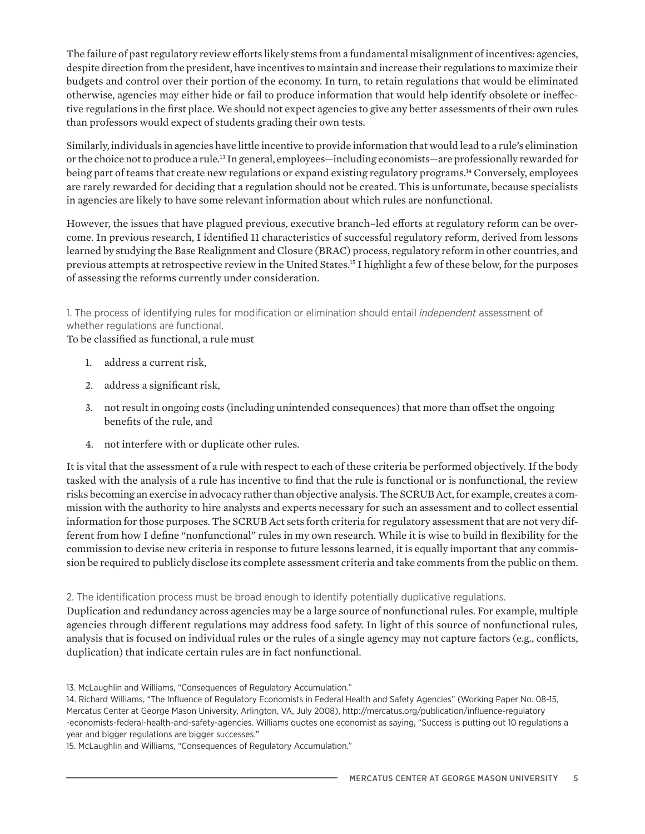The failure of past regulatory review efforts likely stems from a fundamental misalignment of incentives: agencies, despite direction from the president, have incentives to maintain and increase their regulations to maximize their budgets and control over their portion of the economy. In turn, to retain regulations that would be eliminated otherwise, agencies may either hide or fail to produce information that would help identify obsolete or ineffective regulations in the first place. We should not expect agencies to give any better assessments of their own rules than professors would expect of students grading their own tests.

Similarly, individuals in agencies have little incentive to provide information that would lead to a rule's elimination or the choice not to produce a rule.13 In general, employees—including economists—are professionally rewarded for being part of teams that create new regulations or expand existing regulatory programs.<sup>14</sup> Conversely, employees are rarely rewarded for deciding that a regulation should not be created. This is unfortunate, because specialists in agencies are likely to have some relevant information about which rules are nonfunctional.

However, the issues that have plagued previous, executive branch–led efforts at regulatory reform can be overcome. In previous research, I identified 11 characteristics of successful regulatory reform, derived from lessons learned by studying the Base Realignment and Closure (BRAC) process, regulatory reform in other countries, and previous attempts at retrospective review in the United States.15 I highlight a few of these below, for the purposes of assessing the reforms currently under consideration.

# 1. The process of identifying rules for modification or elimination should entail *independent* assessment of whether regulations are functional.

To be classified as functional, a rule must

- 1. address a current risk,
- 2. address a significant risk,
- 3. not result in ongoing costs (including unintended consequences) that more than offset the ongoing benefits of the rule, and
- 4. not interfere with or duplicate other rules.

It is vital that the assessment of a rule with respect to each of these criteria be performed objectively. If the body tasked with the analysis of a rule has incentive to find that the rule is functional or is nonfunctional, the review risks becoming an exercise in advocacy rather than objective analysis. The SCRUB Act, for example, creates a commission with the authority to hire analysts and experts necessary for such an assessment and to collect essential information for those purposes. The SCRUB Act sets forth criteria for regulatory assessment that are not very different from how I define "nonfunctional" rules in my own research. While it is wise to build in flexibility for the commission to devise new criteria in response to future lessons learned, it is equally important that any commission be required to publicly disclose its complete assessment criteria and take comments from the public on them.

#### 2. The identification process must be broad enough to identify potentially duplicative regulations.

Duplication and redundancy across agencies may be a large source of nonfunctional rules. For example, multiple agencies through different regulations may address food safety. In light of this source of nonfunctional rules, analysis that is focused on individual rules or the rules of a single agency may not capture factors (e.g., conflicts, duplication) that indicate certain rules are in fact nonfunctional.

15. McLaughlin and Williams, "Consequences of Regulatory Accumulation."

<sup>13.</sup> McLaughlin and Williams, "Consequences of Regulatory Accumulation."

<sup>14.</sup> Richard Williams, "The Influence of Regulatory Economists in Federal Health and Safety Agencies" (Working Paper No. 08-15, Mercatus Center at George Mason University, Arlington, VA, July 2008), http://mercatus.org/publication/influence-regulatory -economists-federal-health-and-safety-agencies. Williams quotes one economist as saying, "Success is putting out 10 regulations a year and bigger regulations are bigger successes."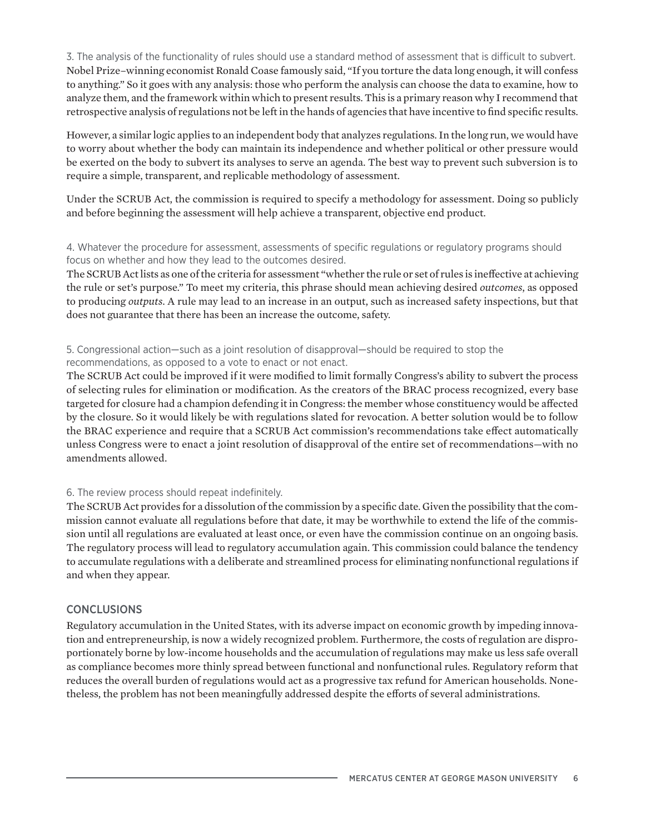3. The analysis of the functionality of rules should use a standard method of assessment that is difficult to subvert. Nobel Prize–winning economist Ronald Coase famously said, "If you torture the data long enough, it will confess to anything." So it goes with any analysis: those who perform the analysis can choose the data to examine, how to analyze them, and the framework within which to present results. This is a primary reason why I recommend that retrospective analysis of regulations not be left in the hands of agencies that have incentive to find specific results.

However, a similar logic applies to an independent body that analyzes regulations. In the long run, we would have to worry about whether the body can maintain its independence and whether political or other pressure would be exerted on the body to subvert its analyses to serve an agenda. The best way to prevent such subversion is to require a simple, transparent, and replicable methodology of assessment.

Under the SCRUB Act, the commission is required to specify a methodology for assessment. Doing so publicly and before beginning the assessment will help achieve a transparent, objective end product.

## 4. Whatever the procedure for assessment, assessments of specific regulations or regulatory programs should focus on whether and how they lead to the outcomes desired.

The SCRUB Act lists as one of the criteria for assessment "whether the rule or set of rules is ineffective at achieving the rule or set's purpose." To meet my criteria, this phrase should mean achieving desired *outcomes*, as opposed to producing *outputs*. A rule may lead to an increase in an output, such as increased safety inspections, but that does not guarantee that there has been an increase the outcome, safety.

## 5. Congressional action—such as a joint resolution of disapproval—should be required to stop the recommendations, as opposed to a vote to enact or not enact.

The SCRUB Act could be improved if it were modified to limit formally Congress's ability to subvert the process of selecting rules for elimination or modification. As the creators of the BRAC process recognized, every base targeted for closure had a champion defending it in Congress: the member whose constituency would be affected by the closure. So it would likely be with regulations slated for revocation. A better solution would be to follow the BRAC experience and require that a SCRUB Act commission's recommendations take effect automatically unless Congress were to enact a joint resolution of disapproval of the entire set of recommendations—with no amendments allowed.

# 6. The review process should repeat indefinitely.

The SCRUB Act provides for a dissolution of the commission by a specific date. Given the possibility that the commission cannot evaluate all regulations before that date, it may be worthwhile to extend the life of the commission until all regulations are evaluated at least once, or even have the commission continue on an ongoing basis. The regulatory process will lead to regulatory accumulation again. This commission could balance the tendency to accumulate regulations with a deliberate and streamlined process for eliminating nonfunctional regulations if and when they appear.

# **CONCLUSIONS**

Regulatory accumulation in the United States, with its adverse impact on economic growth by impeding innovation and entrepreneurship, is now a widely recognized problem. Furthermore, the costs of regulation are disproportionately borne by low-income households and the accumulation of regulations may make us less safe overall as compliance becomes more thinly spread between functional and nonfunctional rules. Regulatory reform that reduces the overall burden of regulations would act as a progressive tax refund for American households. Nonetheless, the problem has not been meaningfully addressed despite the efforts of several administrations.